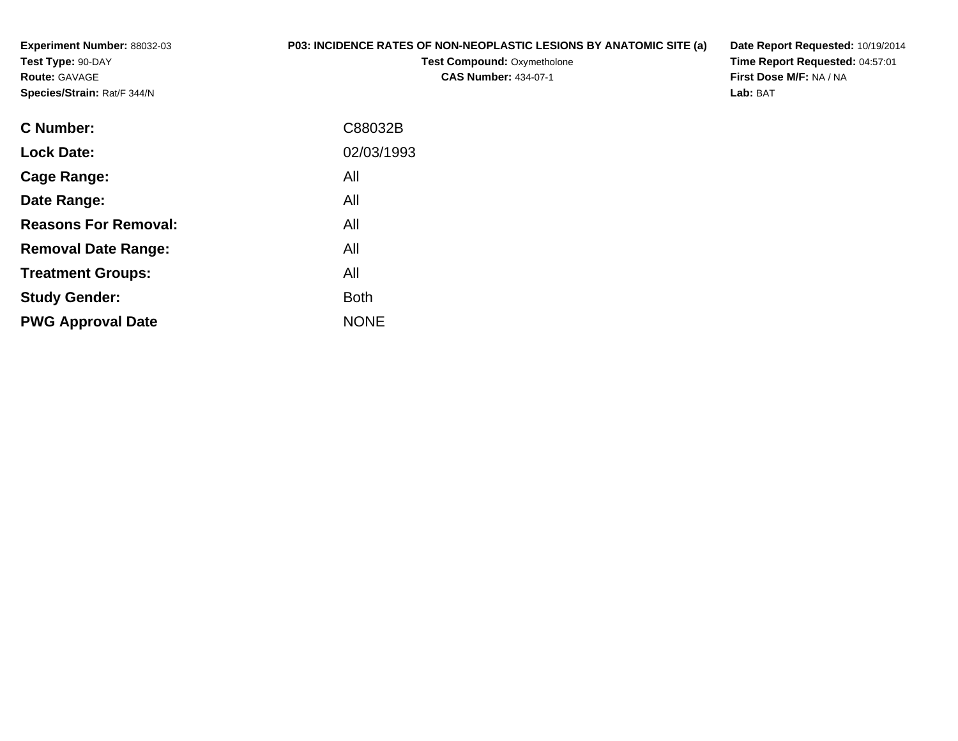**Experiment Number:** 88032-03**Test Type:** 90-DAY**Route:** GAVAGE**Species/Strain:** Rat/F 344/N

## **P03: INCIDENCE RATES OF NON-NEOPLASTIC LESIONS BY ANATOMIC SITE (a)**

**Test Compound: Oxymetholone CAS Number:** 434-07-1

**Date Report Requested:** 10/19/2014**Time Report Requested:** 04:57:01**First Dose M/F:** NA / NA**Lab:** BAT

| C88032B     |
|-------------|
| 02/03/1993  |
| All         |
| All         |
| All         |
| All         |
| All         |
| <b>Both</b> |
| <b>NONE</b> |
|             |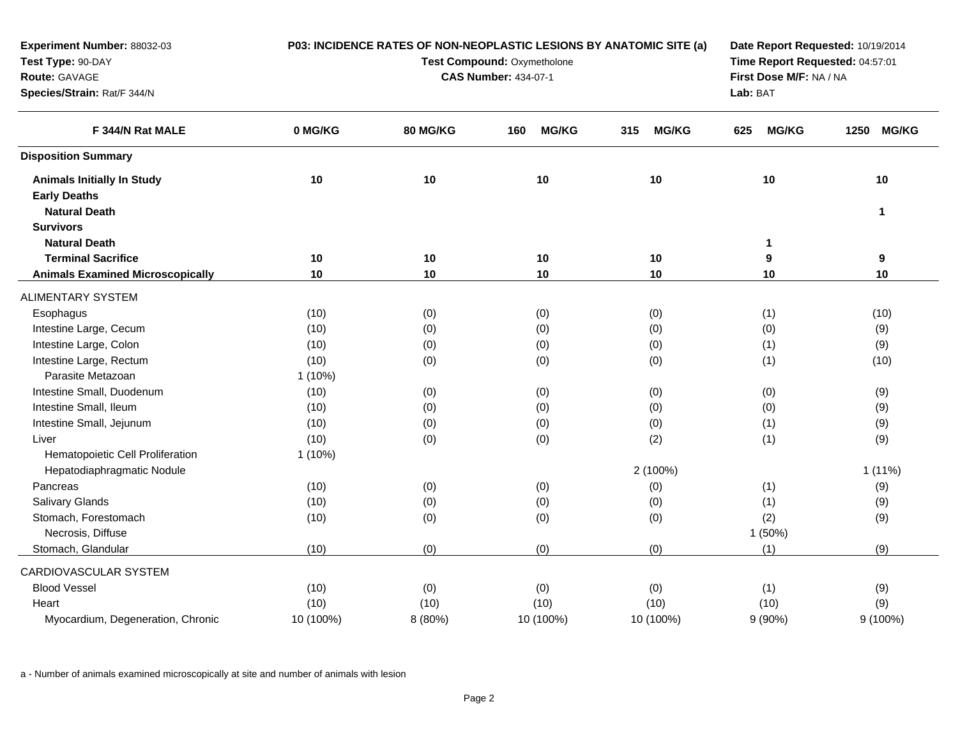| Experiment Number: 88032-03             | P03: INCIDENCE RATES OF NON-NEOPLASTIC LESIONS BY ANATOMIC SITE (a) |          |                             | Date Report Requested: 10/19/2014<br>Time Report Requested: 04:57:01 |                         |                      |
|-----------------------------------------|---------------------------------------------------------------------|----------|-----------------------------|----------------------------------------------------------------------|-------------------------|----------------------|
| Test Type: 90-DAY                       | Test Compound: Oxymetholone                                         |          |                             |                                                                      |                         |                      |
| Route: GAVAGE                           |                                                                     |          | <b>CAS Number: 434-07-1</b> |                                                                      | First Dose M/F: NA / NA |                      |
| Species/Strain: Rat/F 344/N             |                                                                     |          |                             |                                                                      | Lab: BAT                |                      |
| F 344/N Rat MALE                        | 0 MG/KG                                                             | 80 MG/KG | <b>MG/KG</b><br>160         | <b>MG/KG</b><br>315                                                  | <b>MG/KG</b><br>625     | <b>MG/KG</b><br>1250 |
| <b>Disposition Summary</b>              |                                                                     |          |                             |                                                                      |                         |                      |
| <b>Animals Initially In Study</b>       | 10                                                                  | 10       | 10                          | 10                                                                   | 10                      | 10                   |
| <b>Early Deaths</b>                     |                                                                     |          |                             |                                                                      |                         |                      |
| <b>Natural Death</b>                    |                                                                     |          |                             |                                                                      |                         | $\mathbf 1$          |
| <b>Survivors</b>                        |                                                                     |          |                             |                                                                      |                         |                      |
| <b>Natural Death</b>                    |                                                                     |          |                             |                                                                      | $\mathbf 1$             |                      |
| <b>Terminal Sacrifice</b>               | 10                                                                  | 10       | 10                          | 10                                                                   | 9                       | 9                    |
| <b>Animals Examined Microscopically</b> | 10                                                                  | 10       | 10                          | 10                                                                   | 10                      | 10                   |
| <b>ALIMENTARY SYSTEM</b>                |                                                                     |          |                             |                                                                      |                         |                      |
| Esophagus                               | (10)                                                                | (0)      | (0)                         | (0)                                                                  | (1)                     | (10)                 |
| Intestine Large, Cecum                  | (10)                                                                | (0)      | (0)                         | (0)                                                                  | (0)                     | (9)                  |
| Intestine Large, Colon                  | (10)                                                                | (0)      | (0)                         | (0)                                                                  | (1)                     | (9)                  |
| Intestine Large, Rectum                 | (10)                                                                | (0)      | (0)                         | (0)                                                                  | (1)                     | (10)                 |
| Parasite Metazoan                       | $1(10\%)$                                                           |          |                             |                                                                      |                         |                      |
| Intestine Small, Duodenum               | (10)                                                                | (0)      | (0)                         | (0)                                                                  | (0)                     | (9)                  |
| Intestine Small, Ileum                  | (10)                                                                | (0)      | (0)                         | (0)                                                                  | (0)                     | (9)                  |
| Intestine Small, Jejunum                | (10)                                                                | (0)      | (0)                         | (0)                                                                  | (1)                     | (9)                  |
| Liver                                   | (10)                                                                | (0)      | (0)                         | (2)                                                                  | (1)                     | (9)                  |
| Hematopoietic Cell Proliferation        | $1(10\%)$                                                           |          |                             |                                                                      |                         |                      |
| Hepatodiaphragmatic Nodule              |                                                                     |          |                             | 2 (100%)                                                             |                         | $1(11\%)$            |
| Pancreas                                | (10)                                                                | (0)      | (0)                         | (0)                                                                  | (1)                     | (9)                  |
| <b>Salivary Glands</b>                  | (10)                                                                | (0)      | (0)                         | (0)                                                                  | (1)                     | (9)                  |
| Stomach, Forestomach                    | (10)                                                                | (0)      | (0)                         | (0)                                                                  | (2)                     | (9)                  |
| Necrosis, Diffuse                       |                                                                     |          |                             |                                                                      | 1 (50%)                 |                      |
| Stomach, Glandular                      | (10)                                                                | (0)      | (0)                         | (0)                                                                  | (1)                     | (9)                  |
| CARDIOVASCULAR SYSTEM                   |                                                                     |          |                             |                                                                      |                         |                      |
| <b>Blood Vessel</b>                     | (10)                                                                | (0)      | (0)                         | (0)                                                                  | (1)                     | (9)                  |
| Heart                                   | (10)                                                                | (10)     | (10)                        | (10)                                                                 | (10)                    | (9)                  |
| Myocardium, Degeneration, Chronic       | 10 (100%)                                                           | 8 (80%)  | 10 (100%)                   | 10 (100%)                                                            | 9(90%)                  | $9(100\%)$           |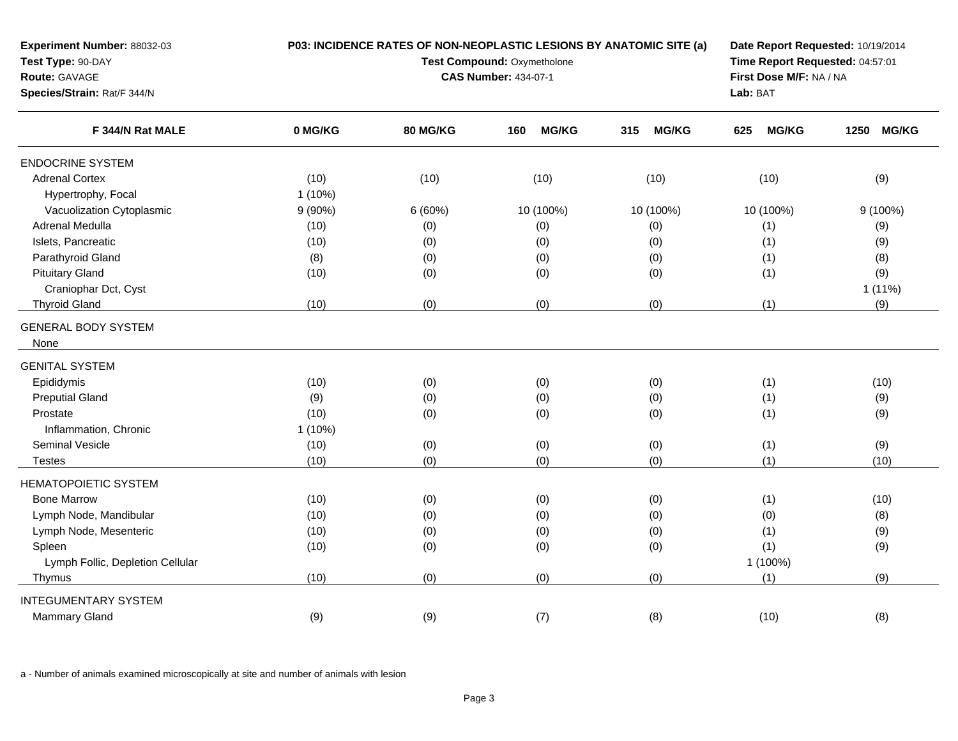| Experiment Number: 88032-03<br>Test Type: 90-DAY<br>Route: GAVAGE<br>Species/Strain: Rat/F 344/N | P03: INCIDENCE RATES OF NON-NEOPLASTIC LESIONS BY ANATOMIC SITE (a)<br>Test Compound: Oxymetholone<br><b>CAS Number: 434-07-1</b> |                 |                     |                     | Date Report Requested: 10/19/2014<br>Time Report Requested: 04:57:01<br>First Dose M/F: NA / NA<br>Lab: BAT |            |
|--------------------------------------------------------------------------------------------------|-----------------------------------------------------------------------------------------------------------------------------------|-----------------|---------------------|---------------------|-------------------------------------------------------------------------------------------------------------|------------|
| F 344/N Rat MALE                                                                                 | 0 MG/KG                                                                                                                           | <b>80 MG/KG</b> | <b>MG/KG</b><br>160 | <b>MG/KG</b><br>315 | <b>MG/KG</b><br>625                                                                                         | 1250 MG/KG |
| <b>ENDOCRINE SYSTEM</b>                                                                          |                                                                                                                                   |                 |                     |                     |                                                                                                             |            |
| <b>Adrenal Cortex</b>                                                                            | (10)                                                                                                                              | (10)            | (10)                | (10)                | (10)                                                                                                        | (9)        |
| Hypertrophy, Focal                                                                               | $1(10\%)$                                                                                                                         |                 |                     |                     |                                                                                                             |            |
| Vacuolization Cytoplasmic                                                                        | $9(90\%)$                                                                                                                         | 6(60%)          | 10 (100%)           | 10 (100%)           | 10 (100%)                                                                                                   | $9(100\%)$ |
| Adrenal Medulla                                                                                  | (10)                                                                                                                              | (0)             | (0)                 | (0)                 | (1)                                                                                                         | (9)        |
| Islets, Pancreatic                                                                               | (10)                                                                                                                              | (0)             | (0)                 | (0)                 | (1)                                                                                                         | (9)        |
| Parathyroid Gland                                                                                | (8)                                                                                                                               | (0)             | (0)                 | (0)                 | (1)                                                                                                         | (8)        |
| <b>Pituitary Gland</b>                                                                           | (10)                                                                                                                              | (0)             | (0)                 | (0)                 | (1)                                                                                                         | (9)        |
| Craniophar Dct, Cyst                                                                             |                                                                                                                                   |                 |                     |                     |                                                                                                             | $1(11\%)$  |
| <b>Thyroid Gland</b>                                                                             | (10)                                                                                                                              | (0)             | (0)                 | (0)                 | (1)                                                                                                         | (9)        |
| <b>GENERAL BODY SYSTEM</b><br>None                                                               |                                                                                                                                   |                 |                     |                     |                                                                                                             |            |
| <b>GENITAL SYSTEM</b>                                                                            |                                                                                                                                   |                 |                     |                     |                                                                                                             |            |
| Epididymis                                                                                       | (10)                                                                                                                              | (0)             | (0)                 | (0)                 | (1)                                                                                                         | (10)       |
| <b>Preputial Gland</b>                                                                           | (9)                                                                                                                               | (0)             | (0)                 | (0)                 | (1)                                                                                                         | (9)        |
| Prostate                                                                                         | (10)                                                                                                                              | (0)             | (0)                 | (0)                 | (1)                                                                                                         | (9)        |
| Inflammation, Chronic                                                                            | $1(10\%)$                                                                                                                         |                 |                     |                     |                                                                                                             |            |
| Seminal Vesicle                                                                                  | (10)                                                                                                                              | (0)             | (0)                 | (0)                 | (1)                                                                                                         | (9)        |
| <b>Testes</b>                                                                                    | (10)                                                                                                                              | (0)             | (0)                 | (0)                 | (1)                                                                                                         | (10)       |
| <b>HEMATOPOIETIC SYSTEM</b>                                                                      |                                                                                                                                   |                 |                     |                     |                                                                                                             |            |
| <b>Bone Marrow</b>                                                                               | (10)                                                                                                                              | (0)             | (0)                 | (0)                 | (1)                                                                                                         | (10)       |
| Lymph Node, Mandibular                                                                           | (10)                                                                                                                              | (0)             | (0)                 | (0)                 | (0)                                                                                                         | (8)        |
| Lymph Node, Mesenteric                                                                           | (10)                                                                                                                              | (0)             | (0)                 | (0)                 | (1)                                                                                                         | (9)        |
| Spleen                                                                                           | (10)                                                                                                                              | (0)             | (0)                 | (0)                 | (1)                                                                                                         | (9)        |
| Lymph Follic, Depletion Cellular                                                                 |                                                                                                                                   |                 |                     |                     | 1 (100%)                                                                                                    |            |
| Thymus                                                                                           | (10)                                                                                                                              | (0)             | (0)                 | (0)                 | (1)                                                                                                         | (9)        |
| <b>INTEGUMENTARY SYSTEM</b>                                                                      |                                                                                                                                   |                 |                     |                     |                                                                                                             |            |
| <b>Mammary Gland</b>                                                                             | (9)                                                                                                                               | (9)             | (7)                 | (8)                 | (10)                                                                                                        | (8)        |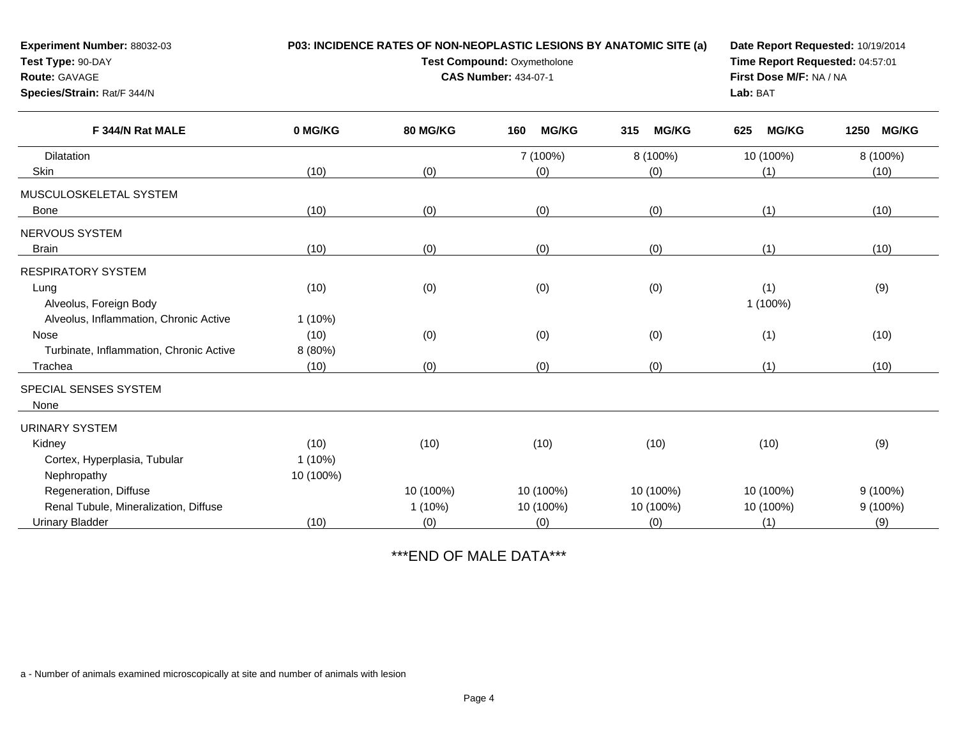| Experiment Number: 88032-03<br>Test Type: 90-DAY<br>Route: GAVAGE<br>Species/Strain: Rat/F 344/N | P03: INCIDENCE RATES OF NON-NEOPLASTIC LESIONS BY ANATOMIC SITE (a)<br>Test Compound: Oxymetholone<br><b>CAS Number: 434-07-1</b> |           |                     |                     | Date Report Requested: 10/19/2014<br>Time Report Requested: 04:57:01<br>First Dose M/F: NA / NA<br>Lab: BAT |                      |
|--------------------------------------------------------------------------------------------------|-----------------------------------------------------------------------------------------------------------------------------------|-----------|---------------------|---------------------|-------------------------------------------------------------------------------------------------------------|----------------------|
| F 344/N Rat MALE                                                                                 | 0 MG/KG                                                                                                                           | 80 MG/KG  | <b>MG/KG</b><br>160 | <b>MG/KG</b><br>315 | <b>MG/KG</b><br>625                                                                                         | <b>MG/KG</b><br>1250 |
| Dilatation                                                                                       |                                                                                                                                   |           | 7 (100%)            | 8 (100%)            | 10 (100%)                                                                                                   | 8 (100%)             |
| Skin                                                                                             | (10)                                                                                                                              | (0)       | (0)                 | (0)                 | (1)                                                                                                         | (10)                 |
| MUSCULOSKELETAL SYSTEM                                                                           |                                                                                                                                   |           |                     |                     |                                                                                                             |                      |
| Bone                                                                                             | (10)                                                                                                                              | (0)       | (0)                 | (0)                 | (1)                                                                                                         | (10)                 |
| <b>NERVOUS SYSTEM</b>                                                                            |                                                                                                                                   |           |                     |                     |                                                                                                             |                      |
| <b>Brain</b>                                                                                     | (10)                                                                                                                              | (0)       | (0)                 | (0)                 | (1)                                                                                                         | (10)                 |
| <b>RESPIRATORY SYSTEM</b>                                                                        |                                                                                                                                   |           |                     |                     |                                                                                                             |                      |
| Lung                                                                                             | (10)                                                                                                                              | (0)       | (0)                 | (0)                 | (1)                                                                                                         | (9)                  |
| Alveolus, Foreign Body                                                                           |                                                                                                                                   |           |                     |                     | 1 (100%)                                                                                                    |                      |
| Alveolus, Inflammation, Chronic Active                                                           | $1(10\%)$                                                                                                                         |           |                     |                     |                                                                                                             |                      |
| <b>Nose</b>                                                                                      | (10)                                                                                                                              | (0)       | (0)                 | (0)                 | (1)                                                                                                         | (10)                 |
| Turbinate, Inflammation, Chronic Active                                                          | 8 (80%)                                                                                                                           |           |                     |                     |                                                                                                             |                      |
| Trachea                                                                                          | (10)                                                                                                                              | (0)       | (0)                 | (0)                 | (1)                                                                                                         | (10)                 |
| SPECIAL SENSES SYSTEM                                                                            |                                                                                                                                   |           |                     |                     |                                                                                                             |                      |
| None                                                                                             |                                                                                                                                   |           |                     |                     |                                                                                                             |                      |
| <b>URINARY SYSTEM</b>                                                                            |                                                                                                                                   |           |                     |                     |                                                                                                             |                      |
| Kidney                                                                                           | (10)                                                                                                                              | (10)      | (10)                | (10)                | (10)                                                                                                        | (9)                  |
| Cortex, Hyperplasia, Tubular                                                                     | $1(10\%)$                                                                                                                         |           |                     |                     |                                                                                                             |                      |
| Nephropathy                                                                                      | 10 (100%)                                                                                                                         |           |                     |                     |                                                                                                             |                      |
| Regeneration, Diffuse                                                                            |                                                                                                                                   | 10 (100%) | 10 (100%)           | 10 (100%)           | 10 (100%)                                                                                                   | $9(100\%)$           |
| Renal Tubule, Mineralization, Diffuse                                                            |                                                                                                                                   | $1(10\%)$ | 10 (100%)           | 10 (100%)           | 10 (100%)                                                                                                   | $9(100\%)$           |
| <b>Urinary Bladder</b>                                                                           | (10)                                                                                                                              | (0)       | (0)                 | (0)                 | (1)                                                                                                         | (9)                  |

## \*\*\*END OF MALE DATA\*\*\*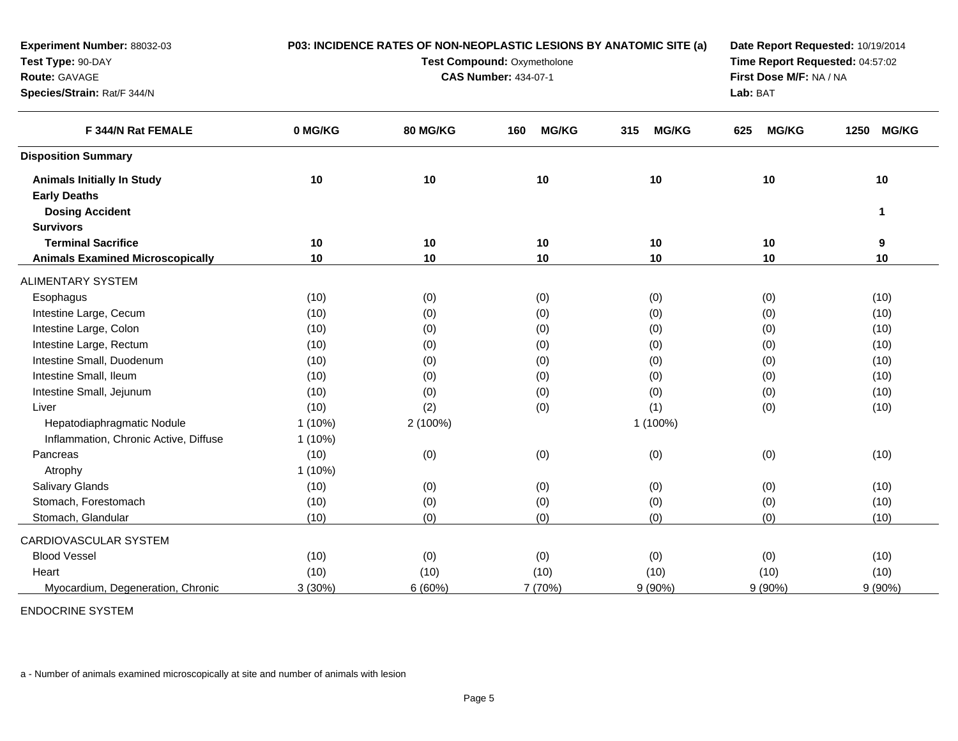| Experiment Number: 88032-03             | P03: INCIDENCE RATES OF NON-NEOPLASTIC LESIONS BY ANATOMIC SITE (a) |          |                     | Date Report Requested: 10/19/2014<br>Time Report Requested: 04:57:02<br>First Dose M/F: NA / NA |                     |                      |  |
|-----------------------------------------|---------------------------------------------------------------------|----------|---------------------|-------------------------------------------------------------------------------------------------|---------------------|----------------------|--|
| Test Type: 90-DAY                       | Test Compound: Oxymetholone<br><b>CAS Number: 434-07-1</b>          |          |                     |                                                                                                 |                     |                      |  |
| Route: GAVAGE                           |                                                                     |          |                     |                                                                                                 |                     |                      |  |
| Species/Strain: Rat/F 344/N             |                                                                     |          |                     |                                                                                                 | Lab: BAT            |                      |  |
| F 344/N Rat FEMALE                      | 0 MG/KG                                                             | 80 MG/KG | <b>MG/KG</b><br>160 | <b>MG/KG</b><br>315                                                                             | <b>MG/KG</b><br>625 | <b>MG/KG</b><br>1250 |  |
| <b>Disposition Summary</b>              |                                                                     |          |                     |                                                                                                 |                     |                      |  |
| <b>Animals Initially In Study</b>       | 10                                                                  | 10       | 10                  | 10                                                                                              | 10                  | 10                   |  |
| <b>Early Deaths</b>                     |                                                                     |          |                     |                                                                                                 |                     |                      |  |
| <b>Dosing Accident</b>                  |                                                                     |          |                     |                                                                                                 |                     | 1                    |  |
| <b>Survivors</b>                        |                                                                     |          |                     |                                                                                                 |                     |                      |  |
| <b>Terminal Sacrifice</b>               | 10                                                                  | 10       | 10                  | 10                                                                                              | 10                  | 9                    |  |
| <b>Animals Examined Microscopically</b> | 10                                                                  | 10       | 10                  | 10                                                                                              | 10                  | 10                   |  |
| <b>ALIMENTARY SYSTEM</b>                |                                                                     |          |                     |                                                                                                 |                     |                      |  |
| Esophagus                               | (10)                                                                | (0)      | (0)                 | (0)                                                                                             | (0)                 | (10)                 |  |
| Intestine Large, Cecum                  | (10)                                                                | (0)      | (0)                 | (0)                                                                                             | (0)                 | (10)                 |  |
| Intestine Large, Colon                  | (10)                                                                | (0)      | (0)                 | (0)                                                                                             | (0)                 | (10)                 |  |
| Intestine Large, Rectum                 | (10)                                                                | (0)      | (0)                 | (0)                                                                                             | (0)                 | (10)                 |  |
| Intestine Small, Duodenum               | (10)                                                                | (0)      | (0)                 | (0)                                                                                             | (0)                 | (10)                 |  |
| Intestine Small, Ileum                  | (10)                                                                | (0)      | (0)                 | (0)                                                                                             | (0)                 | (10)                 |  |
| Intestine Small, Jejunum                | (10)                                                                | (0)      | (0)                 | (0)                                                                                             | (0)                 | (10)                 |  |
| Liver                                   | (10)                                                                | (2)      | (0)                 | (1)                                                                                             | (0)                 | (10)                 |  |
| Hepatodiaphragmatic Nodule              | $1(10\%)$                                                           | 2 (100%) |                     | 1 (100%)                                                                                        |                     |                      |  |
| Inflammation, Chronic Active, Diffuse   | $1(10\%)$                                                           |          |                     |                                                                                                 |                     |                      |  |
| Pancreas                                | (10)                                                                | (0)      | (0)                 | (0)                                                                                             | (0)                 | (10)                 |  |
| Atrophy                                 | 1(10%)                                                              |          |                     |                                                                                                 |                     |                      |  |
| Salivary Glands                         | (10)                                                                | (0)      | (0)                 | (0)                                                                                             | (0)                 | (10)                 |  |
| Stomach, Forestomach                    | (10)                                                                | (0)      | (0)                 | (0)                                                                                             | (0)                 | (10)                 |  |
| Stomach, Glandular                      | (10)                                                                | (0)      | (0)                 | (0)                                                                                             | (0)                 | (10)                 |  |
| CARDIOVASCULAR SYSTEM                   |                                                                     |          |                     |                                                                                                 |                     |                      |  |
| <b>Blood Vessel</b>                     | (10)                                                                | (0)      | (0)                 | (0)                                                                                             | (0)                 | (10)                 |  |
| Heart                                   | (10)                                                                | (10)     | (10)                | (10)                                                                                            | (10)                | (10)                 |  |
| Myocardium, Degeneration, Chronic       | 3(30%)                                                              | 6(60%)   | 7 (70%)             | $9(90\%)$                                                                                       | $9(90\%)$           | $9(90\%)$            |  |

ENDOCRINE SYSTEM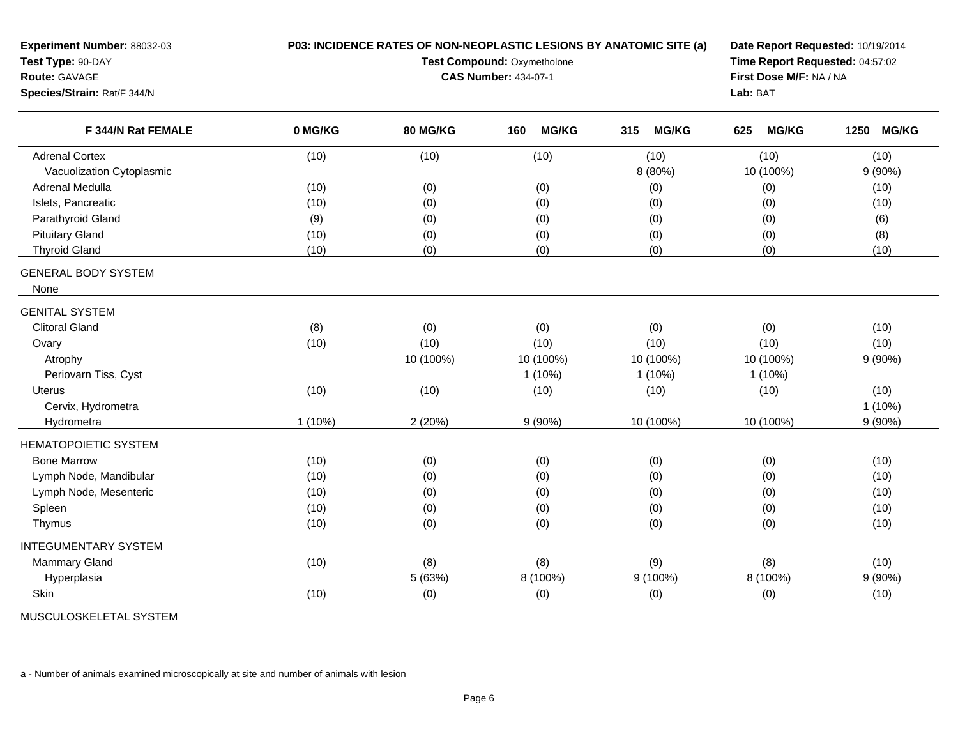| Experiment Number: 88032-03<br>Test Type: 90-DAY<br><b>Route: GAVAGE</b><br>Species/Strain: Rat/F 344/N | P03: INCIDENCE RATES OF NON-NEOPLASTIC LESIONS BY ANATOMIC SITE (a)<br>Test Compound: Oxymetholone<br><b>CAS Number: 434-07-1</b> |                 |                     |                     | Date Report Requested: 10/19/2014<br>Time Report Requested: 04:57:02<br>First Dose M/F: NA / NA<br>Lab: BAT |                      |
|---------------------------------------------------------------------------------------------------------|-----------------------------------------------------------------------------------------------------------------------------------|-----------------|---------------------|---------------------|-------------------------------------------------------------------------------------------------------------|----------------------|
| F 344/N Rat FEMALE                                                                                      | 0 MG/KG                                                                                                                           | <b>80 MG/KG</b> | <b>MG/KG</b><br>160 | 315<br><b>MG/KG</b> | <b>MG/KG</b><br>625                                                                                         | <b>MG/KG</b><br>1250 |
| <b>Adrenal Cortex</b>                                                                                   | (10)                                                                                                                              | (10)            | (10)                | (10)                | (10)                                                                                                        | (10)                 |
| Vacuolization Cytoplasmic                                                                               |                                                                                                                                   |                 |                     | 8 (80%)             | 10 (100%)                                                                                                   | 9(90%)               |
| Adrenal Medulla                                                                                         | (10)                                                                                                                              | (0)             | (0)                 | (0)                 | (0)                                                                                                         | (10)                 |
| Islets, Pancreatic                                                                                      | (10)                                                                                                                              | (0)             | (0)                 | (0)                 | (0)                                                                                                         | (10)                 |
| Parathyroid Gland                                                                                       | (9)                                                                                                                               | (0)             | (0)                 | (0)                 | (0)                                                                                                         | (6)                  |
| <b>Pituitary Gland</b>                                                                                  | (10)                                                                                                                              | (0)             | (0)                 | (0)                 | (0)                                                                                                         | (8)                  |
| <b>Thyroid Gland</b>                                                                                    | (10)                                                                                                                              | (0)             | (0)                 | (0)                 | (0)                                                                                                         | (10)                 |
| <b>GENERAL BODY SYSTEM</b><br>None                                                                      |                                                                                                                                   |                 |                     |                     |                                                                                                             |                      |
| <b>GENITAL SYSTEM</b>                                                                                   |                                                                                                                                   |                 |                     |                     |                                                                                                             |                      |
| <b>Clitoral Gland</b>                                                                                   | (8)                                                                                                                               | (0)             | (0)                 | (0)                 | (0)                                                                                                         | (10)                 |
| Ovary                                                                                                   | (10)                                                                                                                              | (10)            | (10)                | (10)                | (10)                                                                                                        | (10)                 |
| Atrophy                                                                                                 |                                                                                                                                   | 10 (100%)       | 10 (100%)           | 10 (100%)           | 10 (100%)                                                                                                   | 9(90%)               |
| Periovarn Tiss, Cyst                                                                                    |                                                                                                                                   |                 | $1(10\%)$           | $1(10\%)$           | $1(10\%)$                                                                                                   |                      |
| <b>Uterus</b>                                                                                           | (10)                                                                                                                              | (10)            | (10)                | (10)                | (10)                                                                                                        | (10)                 |
| Cervix, Hydrometra                                                                                      |                                                                                                                                   |                 |                     |                     |                                                                                                             | $1(10\%)$            |
| Hydrometra                                                                                              | $1(10\%)$                                                                                                                         | 2(20%)          | $9(90\%)$           | 10 (100%)           | 10 (100%)                                                                                                   | $9(90\%)$            |
| <b>HEMATOPOIETIC SYSTEM</b>                                                                             |                                                                                                                                   |                 |                     |                     |                                                                                                             |                      |
| <b>Bone Marrow</b>                                                                                      | (10)                                                                                                                              | (0)             | (0)                 | (0)                 | (0)                                                                                                         | (10)                 |
| Lymph Node, Mandibular                                                                                  | (10)                                                                                                                              | (0)             | (0)                 | (0)                 | (0)                                                                                                         | (10)                 |
| Lymph Node, Mesenteric                                                                                  | (10)                                                                                                                              | (0)             | (0)                 | (0)                 | (0)                                                                                                         | (10)                 |
| Spleen                                                                                                  | (10)                                                                                                                              | (0)             | (0)                 | (0)                 | (0)                                                                                                         | (10)                 |
| Thymus                                                                                                  | (10)                                                                                                                              | (0)             | (0)                 | (0)                 | (0)                                                                                                         | (10)                 |
| <b>INTEGUMENTARY SYSTEM</b>                                                                             |                                                                                                                                   |                 |                     |                     |                                                                                                             |                      |
| <b>Mammary Gland</b>                                                                                    | (10)                                                                                                                              | (8)             | (8)                 | (9)                 | (8)                                                                                                         | (10)                 |
| Hyperplasia                                                                                             |                                                                                                                                   | 5 (63%)         | 8 (100%)            | 9 (100%)            | 8 (100%)                                                                                                    | 9(90%)               |
|                                                                                                         |                                                                                                                                   |                 |                     |                     |                                                                                                             |                      |

MUSCULOSKELETAL SYSTEM